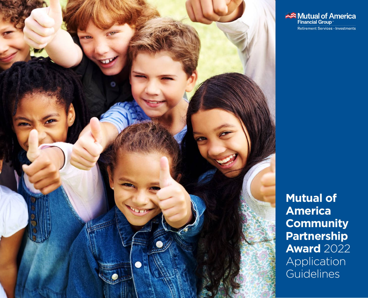

Mutual of America Retirement Services · Investments

**Mutual of America Community Partnership Award** 2022 Application **Guidelines**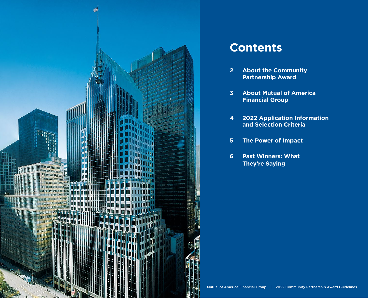

# **Contents**

- **2 About the Community Partnership Award**
- **3 About Mutual of America Financial Group**
- **4 2022 Application Information and Selection Criteria**
- **5 The Power of Impact**
- **6 Past Winners: What They're Saying**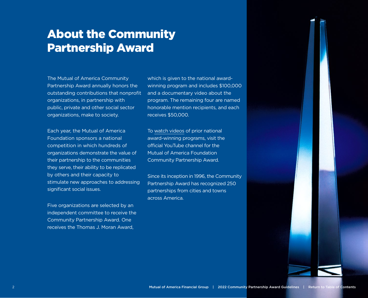# About the Community Partnership Award

The Mutual of America Community Partnership Award annually honors the outstanding contributions that nonprofit organizations, in partnership with public, private and other social sector organizations, make to society.

Each year, the Mutual of America Foundation sponsors a national competition in which hundreds of organizations demonstrate the value of their partnership to the communities they serve, their ability to be replicated by others and their capacity to stimulate new approaches to addressing significant social issues.

Five organizations are selected by an independent committee to receive the Community Partnership Award. One receives the Thomas J. Moran Award,

which is given to the national awardwinning program and includes \$100,000 and a documentary video about the program. The remaining four are named honorable mention recipients, and each receives \$50,000.

To [watch videos](https://www.youtube.com/channel/UCqSXbTkLeQaBnrs2WEImVPQ) of prior national award-winning programs, visit the official YouTube channel for the Mutual of America Foundation Community Partnership Award.

Since its inception in 1996, the Community Partnership Award has recognized 250 partnerships from cities and towns across America.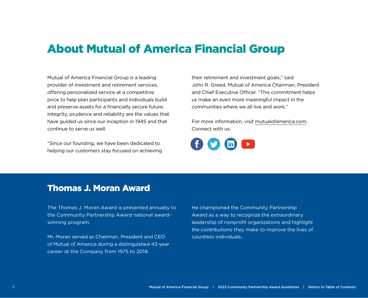## About Mutual of America Financial Group

Mutual of America Financial Group is a leading provider of investment and retirement services, offering personalized service at a competitive price to help plan participants and individuals build and preserve assets for a financially secure future. Integrity, prudence and reliability are the values that have guided us since our inception in 1945 and that continue to serve us well.

"Since our founding, we have been dedicated to helping our customers stay focused on achieving their retirement and investment goals," said John R. Greed, Mutual of America Chairman, President and Chief Executive Officer. "This commitment helps us make an even more meaningful impact in the communities where we all live and work."

For more information, visit [mutualofamerica.com](https://www.mutualofamerica.com). Connect with us:

## Thomas J. Moran Award

The Thomas J. Moran Award is presented annually to the Community Partnership Award national awardwinning program.

Mr. Moran served as Chairman, President and CEO of Mutual of America during a distinguished 43-year career at the Company from 1975 to 2018.

He championed the Community Partnership Award as a way to recognize the extraordinary leadership of nonprofit organizations and highlight the contributions they make to improve the lives of countless individuals.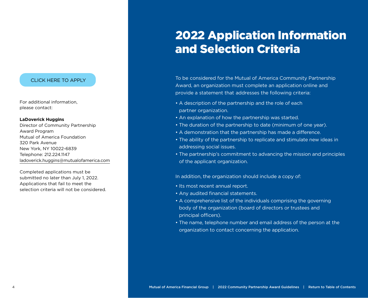### CLICK HERE TO APPLY

For additional information, please contact:

#### **LaDoverick Huggins**

Director of Community Partnership Award Program Mutual of America Foundation 320 Park Avenue New York, NY 10022-6839 Telephone: 212.224.1147 [ladoverick.huggins@mutualofamerica.com](mailto:ladoverick.huggins%40mutualofamerica.com%0D?subject=)

Completed applications must be submitted no later than July 1, 2022. Applications that fail to meet the selection criteria will not be considered.

# 2022 Application Information and Selection Criteria

To be considered for the Mutual of America Community Partnership Award, an organization must complete an application online and provide a statement that addresses the following criteria:

- A description of the partnership and the role of each partner organization.
- An explanation of how the partnership was started.
- The duration of the partnership to date (minimum of one year).
- A demonstration that the partnership has made a difference.
- The ability of the partnership to replicate and stimulate new ideas in addressing social issues.
- The partnership's commitment to advancing the mission and principles of the applicant organization.

In addition, the organization should include a copy of:

- Its most recent annual report.
- Any audited financial statements.
- A comprehensive list of the individuals comprising the governing body of the organization (board of directors or trustees and principal officers).
- The name, telephone number and email address of the person at the organization to contact concerning the application.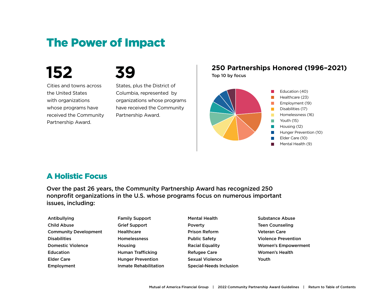# The Power of Impact

# **152**

# **39**

Cities and towns across the United States with organizations whose programs have received the Community Partnership Award.

States, plus the District of Columbia, represented by organizations whose programs have received the Community Partnership Award.

## **250 Partnerships Honored (1996–2021)** Top 10 by focus





## A Holistic Focus

Over the past 26 years, the Community Partnership Award has recognized 250 nonprofit organizations in the U.S. whose programs focus on numerous important issues, including:

| Antibullying                 | <b>Family Support</b>    | <b>Mental Health</b>           | <b>Substance Abuse</b>     |
|------------------------------|--------------------------|--------------------------------|----------------------------|
| <b>Child Abuse</b>           | <b>Grief Support</b>     | Poverty                        | <b>Teen Counseling</b>     |
| <b>Community Development</b> | Healthcare               | <b>Prison Reform</b>           | <b>Veteran Care</b>        |
| <b>Disabilities</b>          | <b>Homelessness</b>      | <b>Public Safety</b>           | <b>Violence Prevention</b> |
| <b>Domestic Violence</b>     | <b>Housing</b>           | <b>Racial Equality</b>         | <b>Women's Empowerment</b> |
| <b>Education</b>             | <b>Human Trafficking</b> | <b>Refugee Care</b>            | <b>Women's Health</b>      |
| <b>Elder Care</b>            | <b>Hunger Prevention</b> | <b>Sexual Violence</b>         | Youth                      |
| Employment                   | Inmate Rehabilitation    | <b>Special-Needs Inclusion</b> |                            |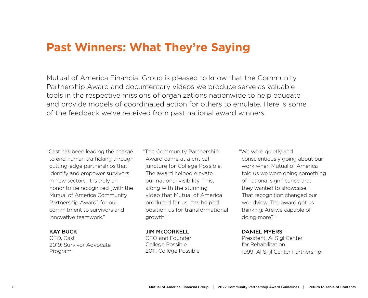## **Past Winners: What They're Saying**

Mutual of America Financial Group is pleased to know that the Community Partnership Award and documentary videos we produce serve as valuable tools in the respective missions of organizations nationwide to help educate and provide models of coordinated action for others to emulate. Here is some of the feedback we've received from past national award winners.

"Cast has been leading the charge to end human trafficking through cutting-edge partnerships that identify and empower survivors in new sectors. It is truly an honor to be recognized [with the Mutual of America Community Partnership Award] for our commitment to survivors and innovative teamwork."

### KAY BUCK

CEO, Cast 2019: Survivor Advocate Program

"The Community Partnership Award came at a critical juncture for College Possible. The award helped elevate our national visibility. This, along with the stunning video that Mutual of America produced for us, has helped position us for transformational growth."

#### JIM McCORKELL

CEO and Founder College Possible 2011: College Possible "We were quietly and conscientiously going about our work when Mutual of America told us we were doing something of national significance that they wanted to showcase. That recognition changed our worldview. The award got us thinking: Are we capable of doing more?"

## DANIEL MYERS

President, Al Sigl Center for Rehabilitation 1999: Al Sigl Center Partnership